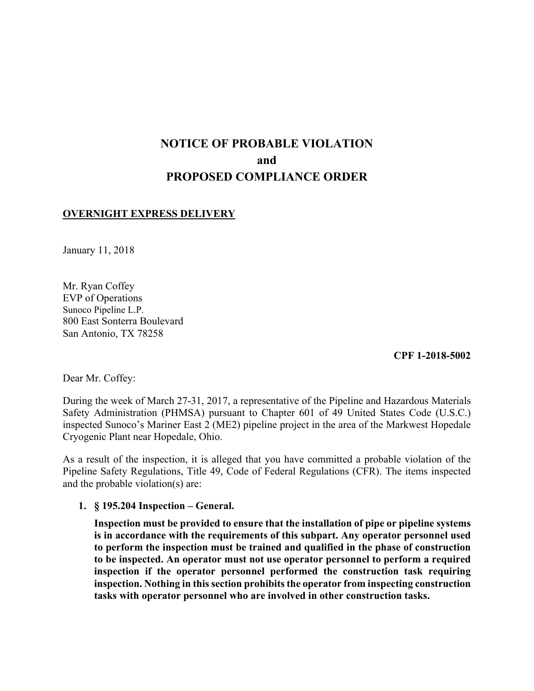# **NOTICE OF PROBABLE VIOLATION and PROPOSED COMPLIANCE ORDER**

### **OVERNIGHT EXPRESS DELIVERY**

January 11, 2018

Mr. Ryan Coffey EVP of Operations Sunoco Pipeline L.P. 800 East Sonterra Boulevard San Antonio, TX 78258

**CPF 1-2018-5002**

Dear Mr. Coffey:

During the week of March 27-31, 2017, a representative of the Pipeline and Hazardous Materials Safety Administration (PHMSA) pursuant to Chapter 601 of 49 United States Code (U.S.C.) inspected Sunoco's Mariner East 2 (ME2) pipeline project in the area of the Markwest Hopedale Cryogenic Plant near Hopedale, Ohio.

As a result of the inspection, it is alleged that you have committed a probable violation of the Pipeline Safety Regulations, Title 49, Code of Federal Regulations (CFR). The items inspected and the probable violation(s) are:

**1. § 195.204 Inspection – General.** 

 **tasks with operator personnel who are involved in other construction tasks.Inspection must be provided to ensure that the installation of pipe or pipeline systems is in accordance with the requirements of this subpart. Any operator personnel used to perform the inspection must be trained and qualified in the phase of construction to be inspected. An operator must not use operator personnel to perform a required inspection if the operator personnel performed the construction task requiring inspection. Nothing in this section prohibits the operator from inspecting construction**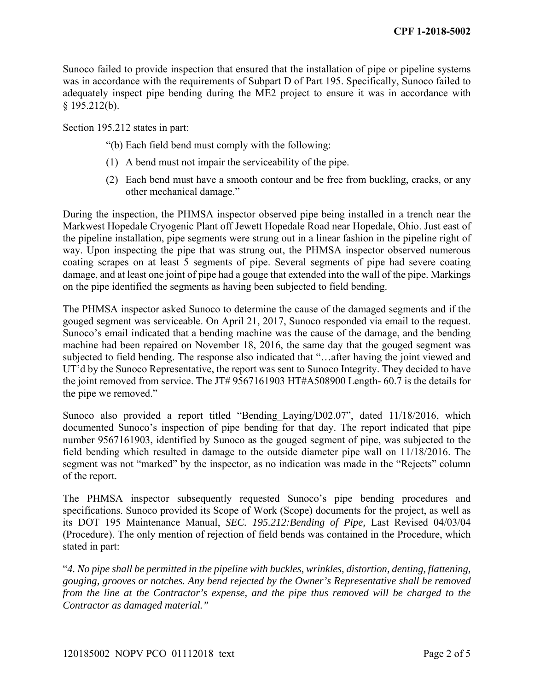Sunoco failed to provide inspection that ensured that the installation of pipe or pipeline systems was in accordance with the requirements of Subpart D of Part 195. Specifically, Sunoco failed to adequately inspect pipe bending during the ME2 project to ensure it was in accordance with  $§$  195.212(b).

Section 195.212 states in part:

- "(b) Each field bend must comply with the following:
- (1) A bend must not impair the serviceability of the pipe.
- (2) Each bend must have a smooth contour and be free from buckling, cracks, or any other mechanical damage."

During the inspection, the PHMSA inspector observed pipe being installed in a trench near the Markwest Hopedale Cryogenic Plant off Jewett Hopedale Road near Hopedale, Ohio. Just east of the pipeline installation, pipe segments were strung out in a linear fashion in the pipeline right of way. Upon inspecting the pipe that was strung out, the PHMSA inspector observed numerous coating scrapes on at least 5 segments of pipe. Several segments of pipe had severe coating damage, and at least one joint of pipe had a gouge that extended into the wall of the pipe. Markings on the pipe identified the segments as having been subjected to field bending.

The PHMSA inspector asked Sunoco to determine the cause of the damaged segments and if the gouged segment was serviceable. On April 21, 2017, Sunoco responded via email to the request. Sunoco's email indicated that a bending machine was the cause of the damage, and the bending machine had been repaired on November 18, 2016, the same day that the gouged segment was subjected to field bending. The response also indicated that "…after having the joint viewed and UT'd by the Sunoco Representative, the report was sent to Sunoco Integrity. They decided to have the joint removed from service. The JT# 9567161903 HT#A508900 Length- 60.7 is the details for the pipe we removed."

Sunoco also provided a report titled "Bending\_Laying/D02.07", dated 11/18/2016, which documented Sunoco's inspection of pipe bending for that day. The report indicated that pipe number 9567161903, identified by Sunoco as the gouged segment of pipe, was subjected to the field bending which resulted in damage to the outside diameter pipe wall on 11/18/2016. The segment was not "marked" by the inspector, as no indication was made in the "Rejects" column of the report.

The PHMSA inspector subsequently requested Sunoco's pipe bending procedures and specifications. Sunoco provided its Scope of Work (Scope) documents for the project, as well as its DOT 195 Maintenance Manual, *SEC. 195.212:Bending of Pipe,* Last Revised 04/03/04 (Procedure). The only mention of rejection of field bends was contained in the Procedure, which stated in part:

"*4. No pipe shall be permitted in the pipeline with buckles, wrinkles, distortion, denting, flattening, gouging, grooves or notches. Any bend rejected by the Owner's Representative shall be removed from the line at the Contractor's expense, and the pipe thus removed will be charged to the Contractor as damaged material."*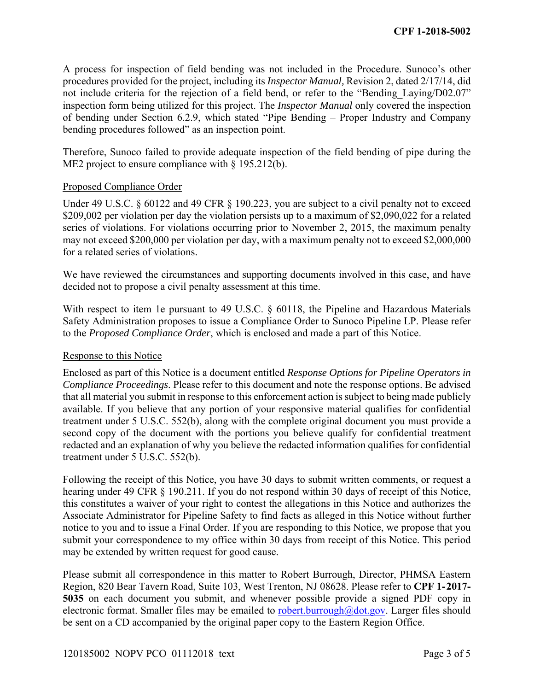A process for inspection of field bending was not included in the Procedure. Sunoco's other procedures provided for the project, including its *Inspector Manual,* Revision 2, dated 2/17/14, did not include criteria for the rejection of a field bend, or refer to the "Bending Laying/D02.07" inspection form being utilized for this project. The *Inspector Manual* only covered the inspection of bending under Section 6.2.9, which stated "Pipe Bending – Proper Industry and Company bending procedures followed" as an inspection point.

Therefore, Sunoco failed to provide adequate inspection of the field bending of pipe during the ME2 project to ensure compliance with § 195.212(b).

#### Proposed Compliance Order

 may not exceed \$200,000 per violation per day, with a maximum penalty not to exceed \$2,000,000 Under 49 U.S.C. § 60122 and 49 CFR § 190.223, you are subject to a civil penalty not to exceed \$209,002 per violation per day the violation persists up to a maximum of \$2,090,022 for a related series of violations. For violations occurring prior to November 2, 2015, the maximum penalty for a related series of violations.

 decided not to propose a civil penalty assessment at this time. We have reviewed the circumstances and supporting documents involved in this case, and have

With respect to item 1e pursuant to 49 U.S.C. § 60118, the Pipeline and Hazardous Materials Safety Administration proposes to issue a Compliance Order to Sunoco Pipeline LP. Please refer to the *Proposed Compliance Order*, which is enclosed and made a part of this Notice.

#### Response to this Notice

 treatment under 5 U.S.C. 552(b), along with the complete original document you must provide a Enclosed as part of this Notice is a document entitled *Response Options for Pipeline Operators in Compliance Proceedings*. Please refer to this document and note the response options. Be advised that all material you submit in response to this enforcement action is subject to being made publicly available. If you believe that any portion of your responsive material qualifies for confidential second copy of the document with the portions you believe qualify for confidential treatment redacted and an explanation of why you believe the redacted information qualifies for confidential treatment under 5 U.S.C. 552(b).

 hearing under 49 CFR § 190.211. If you do not respond within 30 days of receipt of this Notice, Following the receipt of this Notice, you have 30 days to submit written comments, or request a this constitutes a waiver of your right to contest the allegations in this Notice and authorizes the Associate Administrator for Pipeline Safety to find facts as alleged in this Notice without further notice to you and to issue a Final Order. If you are responding to this Notice, we propose that you submit your correspondence to my office within 30 days from receipt of this Notice. This period may be extended by written request for good cause.

Please submit all correspondence in this matter to Robert Burrough, Director, PHMSA Eastern Region, 820 Bear Tavern Road, Suite 103, West Trenton, NJ 08628. Please refer to **CPF 1-2017- 5035** on each document you submit, and whenever possible provide a signed PDF copy in electronic format. Smaller files may be emailed to robert.burrough@dot.gov. Larger files should be sent on a CD accompanied by the original paper copy to the Eastern Region Office.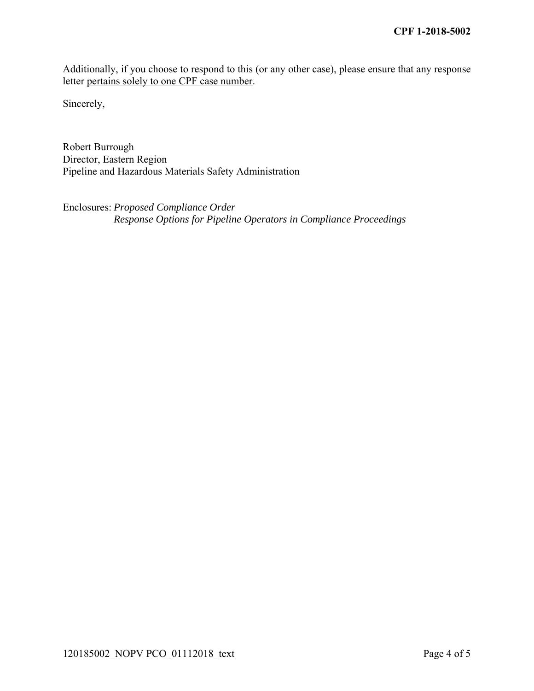Additionally, if you choose to respond to this (or any other case), please ensure that any response letter pertains solely to one CPF case number.

Sincerely,

Robert Burrough Director, Eastern Region Pipeline and Hazardous Materials Safety Administration

Enclosures: *Proposed Compliance Order Response Options for Pipeline Operators in Compliance Proceedings*